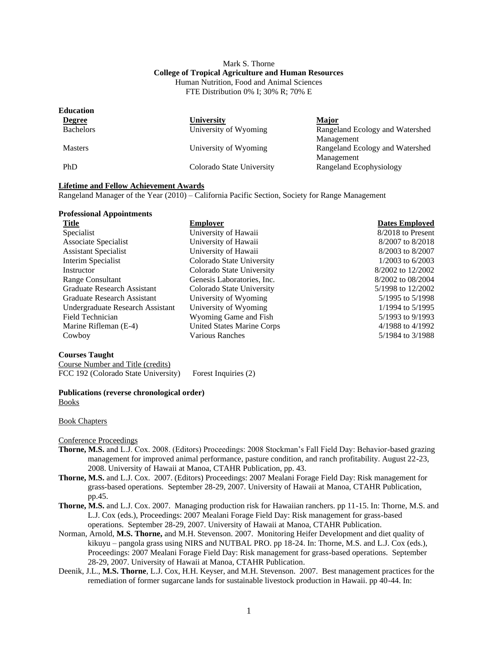### Mark S. Thorne **College of Tropical Agriculture and Human Resources** Human Nutrition, Food and Animal Sciences FTE Distribution 0% I; 30% R; 70% E

| <b>Education</b> |                           |                                 |
|------------------|---------------------------|---------------------------------|
| <b>Degree</b>    | University                | <b>Major</b>                    |
| <b>Bachelors</b> | University of Wyoming     | Rangeland Ecology and Watershed |
|                  |                           | Management                      |
| <b>Masters</b>   | University of Wyoming     | Rangeland Ecology and Watershed |
|                  |                           | Management                      |
| PhD              | Colorado State University | Rangeland Ecophysiology         |
|                  |                           |                                 |

#### **Lifetime and Fellow Achievement Awards**

Rangeland Manager of the Year (2010) – California Pacific Section, Society for Range Management

| <b>Professional Appointments</b> |                                   |                       |
|----------------------------------|-----------------------------------|-----------------------|
| <b>Title</b>                     | <b>Employer</b>                   | <b>Dates Employed</b> |
| Specialist                       | University of Hawaii              | 8/2018 to Present     |
| Associate Specialist             | University of Hawaii              | 8/2007 to 8/2018      |
| <b>Assistant Specialist</b>      | University of Hawaii              | 8/2003 to 8/2007      |
| Interim Specialist               | Colorado State University         | $1/2003$ to 6/2003    |
| Instructor                       | Colorado State University         | 8/2002 to 12/2002     |
| <b>Range Consultant</b>          | Genesis Laboratories, Inc.        | 8/2002 to 08/2004     |
| Graduate Research Assistant      | Colorado State University         | 5/1998 to 12/2002     |
| Graduate Research Assistant      | University of Wyoming             | $5/1995$ to $5/1998$  |
| Undergraduate Research Assistant | University of Wyoming             | $1/1994$ to $5/1995$  |
| Field Technician                 | Wyoming Game and Fish             | 5/1993 to 9/1993      |
| Marine Rifleman (E-4)            | <b>United States Marine Corps</b> | $4/1988$ to $4/1992$  |
| Cowboy                           | Various Ranches                   | 5/1984 to 3/1988      |

#### **Courses Taught**

Course Number and Title (credits) FCC 192 (Colorado State University) Forest Inquiries (2)

## **Publications (reverse chronological order)**

Books

### Book Chapters

#### Conference Proceedings

- **Thorne, M.S.** and L.J. Cox. 2008. (Editors) Proceedings: 2008 Stockman's Fall Field Day: Behavior-based grazing management for improved animal performance, pasture condition, and ranch profitability. August 22-23, 2008. University of Hawaii at Manoa, CTAHR Publication, pp. 43.
- **Thorne, M.S.** and L.J. Cox. 2007. (Editors) Proceedings: 2007 Mealani Forage Field Day: Risk management for grass-based operations. September 28-29, 2007. University of Hawaii at Manoa, CTAHR Publication, pp.45.
- **Thorne, M.S.** and L.J. Cox. 2007. Managing production risk for Hawaiian ranchers. pp 11-15. In: Thorne, M.S. and L.J. Cox (eds.), Proceedings: 2007 Mealani Forage Field Day: Risk management for grass-based operations. September 28-29, 2007. University of Hawaii at Manoa, CTAHR Publication.
- Norman, Arnold, **M.S. Thorne,** and M.H. Stevenson. 2007. Monitoring Heifer Development and diet quality of kikuyu – pangola grass using NIRS and NUTBAL PRO. pp 18-24. In: Thorne, M.S. and L.J. Cox (eds.), Proceedings: 2007 Mealani Forage Field Day: Risk management for grass-based operations. September 28-29, 2007. University of Hawaii at Manoa, CTAHR Publication.
- Deenik, J.L., **M.S. Thorne**, L.J. Cox, H.H. Keyser, and M.H. Stevenson. 2007. Best management practices for the remediation of former sugarcane lands for sustainable livestock production in Hawaii. pp 40-44. In: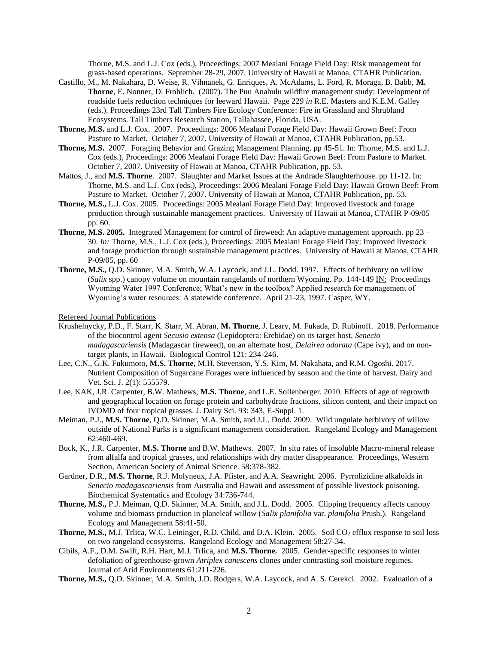Thorne, M.S. and L.J. Cox (eds.), Proceedings: 2007 Mealani Forage Field Day: Risk management for grass-based operations. September 28-29, 2007. University of Hawaii at Manoa, CTAHR Publication.

- Castillo, M., M. Nakahara, D. Weise, R. Vihnanek, G. Enriques, A. McAdams, L. Ford, R. Moraga, B. Babb, **M. Thorne**, E. Nonner, D. Frohlich. (2007). The Puu Anahulu wildfire management study: Development of roadside fuels reduction techniques for leeward Hawaii. Page 229 *in* R.E. Masters and K.E.M. Galley (eds.). Proceedings 23rd Tall Timbers Fire Ecology Conference: Fire in Grassland and Shrubland Ecosystems. Tall Timbers Research Station, Tallahassee, Florida, USA.
- **Thorne, M.S.** and L.J. Cox. 2007. Proceedings: 2006 Mealani Forage Field Day: Hawaii Grown Beef: From Pasture to Market. October 7, 2007. University of Hawaii at Manoa, CTAHR Publication, pp.53.
- **Thorne, M.S.** 2007. Foraging Behavior and Grazing Management Planning. pp 45-51. In: Thorne, M.S. and L.J. Cox (eds.), Proceedings: 2006 Mealani Forage Field Day: Hawaii Grown Beef: From Pasture to Market. October 7, 2007. University of Hawaii at Manoa, CTAHR Publication, pp. 53.
- Mattos, J., and **M.S. Thorne**. 2007. Slaughter and Market Issues at the Andrade Slaughterhouse. pp 11-12. In: Thorne, M.S. and L.J. Cox (eds.), Proceedings: 2006 Mealani Forage Field Day: Hawaii Grown Beef: From Pasture to Market. October 7, 2007. University of Hawaii at Manoa, CTAHR Publication, pp. 53.
- **Thorne, M.S.,** L.J. Cox. 2005.Proceedings: 2005 Mealani Forage Field Day: Improved livestock and forage production through sustainable management practices. University of Hawaii at Manoa, CTAHR P-09/05 pp. 60.
- **Thorne, M.S. 2005.** Integrated Management for control of fireweed: An adaptive management approach. pp 23 30. *In:* Thorne, M.S., L.J. Cox (eds.), Proceedings: 2005 Mealani Forage Field Day: Improved livestock and forage production through sustainable management practices. University of Hawaii at Manoa, CTAHR P-09/05, pp. 60
- **Thorne, M.S.,** Q.D. Skinner, M.A. Smith, W.A. Laycock, and J.L. Dodd. 1997. Effects of herbivory on willow (*Salix* spp.) canopy volume on mountain rangelands of northern Wyoming. Pp. 144-149 IN: Proceedings Wyoming Water 1997 Conference; What's new in the toolbox? Applied research for management of Wyoming's water resources: A statewide conference. April 21-23, 1997. Casper, WY.

Refereed Journal Publications

- Krushelnycky, P.D., F. Starr, K. Starr, M. Abran, **M. Thorne**, J. Leary, M. Fukada, D. Rubinoff. 2018. Performance of the biocontrol agent *Secusio extensa* (Lepidoptera: Erebidae) on its target host, *Senecio madagascariensis* (Madagascar fireweed), on an alternate host, *Delairea odorata* (Cape ivy), and on nontarget plants, in Hawaii. Biological Control 121: 234-246.
- Lee, C.N., G.K. Fukumoto, **M.S. Thorne**, M.H. Stevenson, Y.S. Kim, M. Nakahata, and R.M. Ogoshi. 2017. Nutrient Composition of Sugarcane Forages were influenced by season and the time of harvest. Dairy and Vet. Sci. J. 2(1): 555579.
- Lee, KAK, J.R. Carpenter, B.W. Mathews, **M.S. Thorne**, and L.E. Sollenberger. 2010. Effects of age of regrowth and geographical location on forage protein and carbohydrate fractions, silicon content, and their impact on IVOMD of four tropical grasses. J. Dairy Sci. 93: 343, E-Suppl. 1.
- Meiman, P.J., **M.S. Thorne**, Q.D. Skinner, M.A. Smith, and J.L. Dodd. 2009. Wild ungulate herbivory of willow outside of National Parks is a significant management consideration. Rangeland Ecology and Management 62:460-469.
- Buck, K., J.R. Carpenter, **M.S. Thorne** and B.W. Mathews. 2007. In situ rates of insoluble Macro-mineral release from alfalfa and tropical grasses, and relationships with dry matter disappearance. Proceedings, Western Section, American Society of Animal Science. 58:378-382.
- Gardner, D.R., **M.S. Thorne**, R.J. Molyneux, J.A. Pfister, and A.A. Seawright. 2006. Pyrrolizidine alkaloids in *Senecio madagascariensis* from Australia and Hawaii and assessment of possible livestock poisoning. Biochemical Systematics and Ecology 34:736-744.
- **Thorne, M.S.,** P.J. Meiman, Q.D. Skinner, M.A. Smith, and J.L. Dodd. 2005. Clipping frequency affects canopy volume and biomass production in planeleaf willow (*Salix planifolia* var. *planifolia* Prush.). Rangeland Ecology and Management 58:41-50.
- **Thorne, M.S., M.J.** Trlica, W.C. Leininger, R.D. Child, and D.A. Klein. 2005. Soil CO<sub>2</sub> efflux response to soil loss on two rangeland ecosystems. Rangeland Ecology and Management 58:27-34.
- Cibils, A.F., D.M. Swift, R.H. Hart, M.J. Trlica, and **M.S. Thorne.** 2005. Gender-specific responses to winter defoliation of greenhouse-grown *Atriplex canescens* clones under contrasting soil moisture regimes. Journal of Arid Environments 61:211-226.
- **Thorne, M.S.,** Q.D. Skinner, M.A. Smith, J.D. Rodgers, W.A. Laycock, and A. S. Cerekci. 2002. Evaluation of a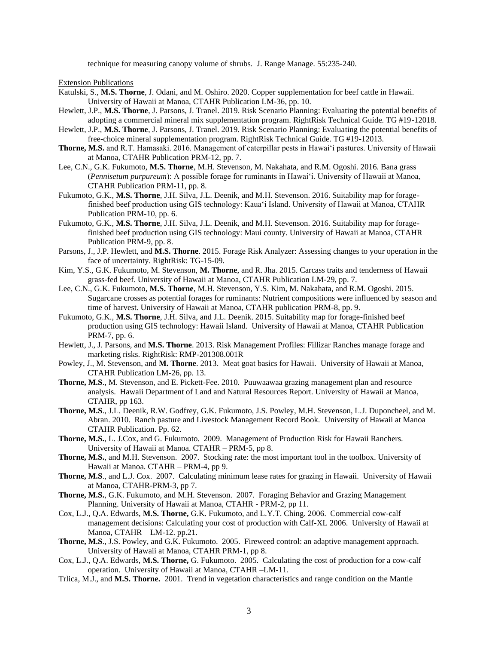technique for measuring canopy volume of shrubs.J. Range Manage. 55:235-240.

Extension Publications

- Katulski, S., **M.S. Thorne**, J. Odani, and M. Oshiro. 2020. Copper supplementation for beef cattle in Hawaii. University of Hawaii at Manoa, CTAHR Publication LM-36, pp. 10.
- Hewlett, J.P., **M.S. Thorne**, J. Parsons, J. Tranel. 2019. Risk Scenario Planning: Evaluating the potential benefits of adopting a commercial mineral mix supplementation program. RightRisk Technical Guide. TG #19-12018.
- Hewlett, J.P., **M.S. Thorne**, J. Parsons, J. Tranel. 2019. Risk Scenario Planning: Evaluating the potential benefits of free-choice mineral supplementation program. RightRisk Technical Guide. TG #19-12013.
- **Thorne, M.S.** and R.T. Hamasaki. 2016. Management of caterpillar pests in Hawaiʻi pastures. University of Hawaii at Manoa, CTAHR Publication PRM-12, pp. 7.
- Lee, C.N., G.K. Fukumoto, **M.S. Thorne**, M.H. Stevenson, M. Nakahata, and R.M. Ogoshi. 2016. Bana grass (*Pennisetum purpureum*): A possible forage for ruminants in Hawaiʻi. University of Hawaii at Manoa, CTAHR Publication PRM-11, pp. 8.
- Fukumoto, G.K., **M.S. Thorne**, J.H. Silva, J.L. Deenik, and M.H. Stevenson. 2016. Suitability map for foragefinished beef production using GIS technology: Kauaʻi Island. University of Hawaii at Manoa, CTAHR Publication PRM-10, pp. 6.
- Fukumoto, G.K., **M.S. Thorne**, J.H. Silva, J.L. Deenik, and M.H. Stevenson. 2016. Suitability map for foragefinished beef production using GIS technology: Maui county. University of Hawaii at Manoa, CTAHR Publication PRM-9, pp. 8.
- Parsons, J., J.P. Hewlett, and **M.S. Thorne**. 2015. Forage Risk Analyzer: Assessing changes to your operation in the face of uncertainty. RightRisk: TG-15-09.
- Kim, Y.S., G.K. Fukumoto, M. Stevenson, **M. Thorne**, and R. Jha. 2015. Carcass traits and tenderness of Hawaii grass-fed beef. University of Hawaii at Manoa, CTAHR Publication LM-29, pp. 7.
- Lee, C.N., G.K. Fukumoto, **M.S. Thorne**, M.H. Stevenson, Y.S. Kim, M. Nakahata, and R.M. Ogoshi. 2015. Sugarcane crosses as potential forages for ruminants: Nutrient compositions were influenced by season and time of harvest. University of Hawaii at Manoa, CTAHR publication PRM-8, pp. 9.
- Fukumoto, G.K., **M.S. Thorne**, J.H. Silva, and J.L. Deenik. 2015. Suitability map for forage-finished beef production using GIS technology: Hawaii Island. University of Hawaii at Manoa, CTAHR Publication PRM-7, pp. 6.
- Hewlett, J., J. Parsons, and **M.S. Thorne**. 2013. Risk Management Profiles: Fillizar Ranches manage forage and marketing risks. RightRisk: RMP-201308.001R
- Powley, J., M. Stevenson, and **M. Thorne**. 2013. Meat goat basics for Hawaii. University of Hawaii at Manoa, CTAHR Publication LM-26, pp. 13.
- **Thorne, M.S**., M. Stevenson, and E. Pickett-Fee. 2010. Puuwaawaa grazing management plan and resource analysis. Hawaii Department of Land and Natural Resources Report. University of Hawaii at Manoa, CTAHR, pp 163.
- **Thorne, M.S**., J.L. Deenik, R.W. Godfrey, G.K. Fukumoto, J.S. Powley, M.H. Stevenson, L.J. Duponcheel, and M. Abran. 2010. Ranch pasture and Livestock Management Record Book. University of Hawaii at Manoa CTAHR Publication. Pp. 62.
- **Thorne, M.S.**, L. J.Cox, and G. Fukumoto. 2009. Management of Production Risk for Hawaii Ranchers. University of Hawaii at Manoa. CTAHR – PRM-5, pp 8.
- **Thorne, M.S.**, and M.H. Stevenson. 2007. Stocking rate: the most important tool in the toolbox. University of Hawaii at Manoa. CTAHR – PRM-4, pp 9.
- **Thorne, M.S**., and L.J. Cox. 2007. Calculating minimum lease rates for grazing in Hawaii. University of Hawaii at Manoa, CTAHR-PRM-3, pp 7.
- **Thorne, M.S.**, G.K. Fukumoto, and M.H. Stevenson. 2007. Foraging Behavior and Grazing Management Planning. University of Hawaii at Manoa, CTAHR - PRM-2, pp 11.
- Cox, L.J., Q.A. Edwards, **M.S. Thorne,** G.K. Fukumoto, and L.Y.T. Ching. 2006. Commercial cow-calf management decisions: Calculating your cost of production with Calf-XL 2006. University of Hawaii at Manoa, CTAHR – LM-12. pp.21.
- **Thorne, M.S**., J.S. Powley, and G.K. Fukumoto. 2005. Fireweed control: an adaptive management approach. University of Hawaii at Manoa, CTAHR PRM-1, pp 8.
- Cox, L.J., Q.A. Edwards, **M.S. Thorne,** G. Fukumoto. 2005. Calculating the cost of production for a cow-calf operation. University of Hawaii at Manoa, CTAHR –LM-11.
- Trlica, M.J., and **M.S. Thorne.** 2001. Trend in vegetation characteristics and range condition on the Mantle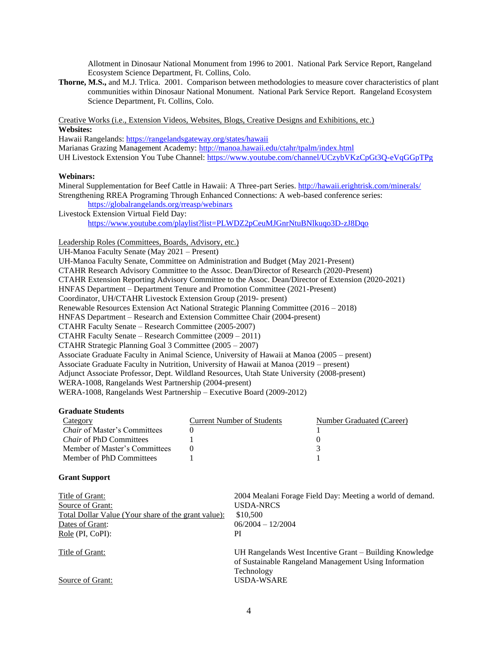Allotment in Dinosaur National Monument from 1996 to 2001. National Park Service Report, Rangeland Ecosystem Science Department, Ft. Collins, Colo.

**Thorne, M.S.,** and M.J. Trlica. 2001.Comparison between methodologies to measure cover characteristics of plant communities within Dinosaur National Monument. National Park Service Report. Rangeland Ecosystem Science Department, Ft. Collins, Colo.

Creative Works (i.e., Extension Videos, Websites, Blogs, Creative Designs and Exhibitions, etc.) **Websites:**

Hawaii Rangelands:<https://rangelandsgateway.org/states/hawaii> Marianas Grazing Management Academy[: http://manoa.hawaii.edu/ctahr/tpalm/index.html](http://manoa.hawaii.edu/ctahr/tpalm/index.html) UH Livestock Extension You Tube Channel[: https://www.youtube.com/channel/UCzybVKzCpGt3Q-eVqGGpTPg](https://www.youtube.com/channel/UCzybVKzCpGt3Q-eVqGGpTPg)

### **Webinars:**

Mineral Supplementation for Beef Cattle in Hawaii: A Three-part Series[. http://hawaii.erightrisk.com/minerals/](http://hawaii.erightrisk.com/minerals/) Strengthening RREA Programing Through Enhanced Connections: A web-based conference series: <https://globalrangelands.org/rreasp/webinars>

Livestock Extension Virtual Field Day: <https://www.youtube.com/playlist?list=PLWDZ2pCeuMJGnrNtuBNlkuqo3D-zJ8Dqo>

### Leadership Roles (Committees, Boards, Advisory, etc.)

UH-Manoa Faculty Senate (May 2021 – Present) UH-Manoa Faculty Senate, Committee on Administration and Budget (May 2021-Present) CTAHR Research Advisory Committee to the Assoc. Dean/Director of Research (2020-Present) CTAHR Extension Reporting Advisory Committee to the Assoc. Dean/Director of Extension (2020-2021) HNFAS Department – Department Tenure and Promotion Committee (2021-Present) Coordinator, UH/CTAHR Livestock Extension Group (2019- present) Renewable Resources Extension Act National Strategic Planning Committee (2016 – 2018) HNFAS Department – Research and Extension Committee Chair (2004-present) CTAHR Faculty Senate – Research Committee (2005-2007) CTAHR Faculty Senate – Research Committee (2009 – 2011) CTAHR Strategic Planning Goal 3 Committee (2005 – 2007) Associate Graduate Faculty in Animal Science, University of Hawaii at Manoa (2005 – present) Associate Graduate Faculty in Nutrition, University of Hawaii at Manoa (2019 – present) Adjunct Associate Professor, Dept. Wildland Resources, Utah State University (2008-present)

WERA-1008, Rangelands West Partnership (2004-present)

WERA-1008, Rangelands West Partnership – Executive Board (2009-2012)

### **Graduate Students**

| Category                            | Current Number of Students | Number Graduated (Career) |
|-------------------------------------|----------------------------|---------------------------|
| <i>Chair</i> of Master's Committees |                            |                           |
| <i>Chair</i> of PhD Committees      |                            |                           |
| Member of Master's Committees       |                            |                           |
| Member of PhD Committees            |                            |                           |

#### **Grant Support**

| Title of Grant:                                     | 2004 Mealani Forage Field Day: Meeting a world of demand. |
|-----------------------------------------------------|-----------------------------------------------------------|
| Source of Grant:                                    | <b>USDA-NRCS</b>                                          |
| Total Dollar Value (Your share of the grant value): | \$10,500                                                  |
| Dates of Grant:                                     | $06/2004 - 12/2004$                                       |
| Role (PI, CoPI):                                    | PI                                                        |
|                                                     |                                                           |
| Title of Grant:                                     | UH Rangelands West Incentive Grant – Building Knowledge   |
|                                                     | of Sustainable Rangeland Management Using Information     |
|                                                     | Technology                                                |
| Source of Grant:                                    | <b>USDA-WSARE</b>                                         |
|                                                     |                                                           |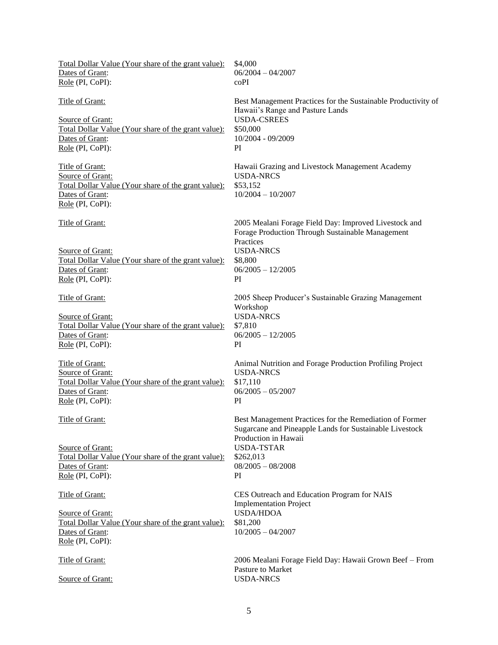| Total Dollar Value (Your share of the grant value):<br>Dates of Grant:<br>Role (PI, CoPI):                                               | \$4,000<br>$06/2004 - 04/2007$<br>coPI                                                                                                                                                                    |
|------------------------------------------------------------------------------------------------------------------------------------------|-----------------------------------------------------------------------------------------------------------------------------------------------------------------------------------------------------------|
| <b>Title of Grant:</b><br>Source of Grant:<br>Total Dollar Value (Your share of the grant value):<br>Dates of Grant:<br>Role (PI, CoPI): | Best Management Practices for the Sustainable Productivity of<br>Hawaii's Range and Pasture Lands<br><b>USDA-CSREES</b><br>\$50,000<br>10/2004 - 09/2009<br>PI                                            |
| Title of Grant:<br>Source of Grant:<br>Total Dollar Value (Your share of the grant value):<br>Dates of Grant:<br>Role (PI, CoPI):        | Hawaii Grazing and Livestock Management Academy<br><b>USDA-NRCS</b><br>\$53,152<br>$10/2004 - 10/2007$                                                                                                    |
| Title of Grant:<br>Source of Grant:<br>Total Dollar Value (Your share of the grant value):<br>Dates of Grant:<br>Role (PI, CoPI):        | 2005 Mealani Forage Field Day: Improved Livestock and<br>Forage Production Through Sustainable Management<br>Practices<br><b>USDA-NRCS</b><br>\$8,800<br>$06/2005 - 12/2005$<br>PI                        |
| Title of Grant:<br>Source of Grant:<br>Total Dollar Value (Your share of the grant value):<br>Dates of Grant:<br>Role (PI, CoPI):        | 2005 Sheep Producer's Sustainable Grazing Management<br>Workshop<br><b>USDA-NRCS</b><br>\$7,810<br>$06/2005 - 12/2005$<br>PI                                                                              |
| Title of Grant:<br>Source of Grant:<br>Total Dollar Value (Your share of the grant value):<br>Dates of Grant:<br>Role (PI, CoPI):        | Animal Nutrition and Forage Production Profiling Project<br><b>USDA-NRCS</b><br>\$17,110<br>$06/2005 - 05/2007$<br>PI                                                                                     |
| Title of Grant:<br>Source of Grant:<br>Total Dollar Value (Your share of the grant value):<br>Dates of Grant:<br>Role (PI, CoPI):        | Best Management Practices for the Remediation of Former<br>Sugarcane and Pineapple Lands for Sustainable Livestock<br>Production in Hawaii<br><b>USDA-TSTAR</b><br>\$262,013<br>$08/2005 - 08/2008$<br>PI |
| Title of Grant:<br>Source of Grant:<br>Total Dollar Value (Your share of the grant value):<br>Dates of Grant:<br>Role (PI, CoPI):        | CES Outreach and Education Program for NAIS<br><b>Implementation Project</b><br><b>USDA/HDOA</b><br>\$81,200<br>$10/2005 - 04/2007$                                                                       |
| Title of Grant:<br>Source of Grant:                                                                                                      | 2006 Mealani Forage Field Day: Hawaii Grown Beef - From<br>Pasture to Market<br><b>USDA-NRCS</b>                                                                                                          |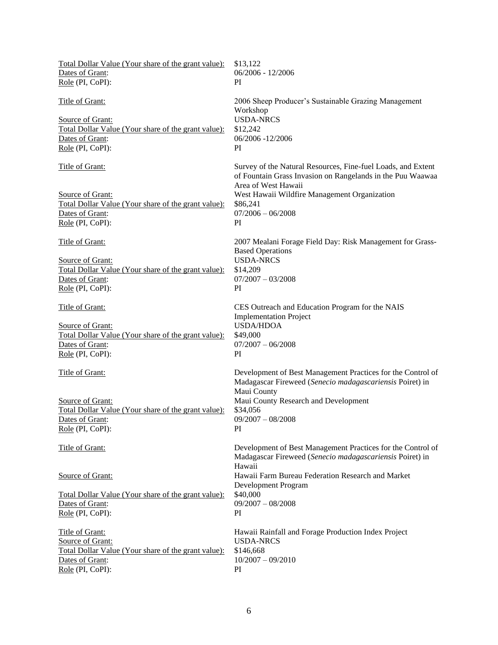| Total Dollar Value (Your share of the grant value):<br>Dates of Grant:<br>Role (PI, CoPI):                                               | \$13,122<br>$06/2006 - 12/2006$<br>PI                                                                                                                                                                                                      |
|------------------------------------------------------------------------------------------------------------------------------------------|--------------------------------------------------------------------------------------------------------------------------------------------------------------------------------------------------------------------------------------------|
| <b>Title of Grant:</b><br>Source of Grant:<br>Total Dollar Value (Your share of the grant value):<br>Dates of Grant:<br>Role (PI, CoPI): | 2006 Sheep Producer's Sustainable Grazing Management<br>Workshop<br><b>USDA-NRCS</b><br>\$12,242<br>06/2006 -12/2006<br>PI                                                                                                                 |
| Title of Grant:<br>Source of Grant:<br>Total Dollar Value (Your share of the grant value):<br>Dates of Grant:<br>Role (PI, CoPI):        | Survey of the Natural Resources, Fine-fuel Loads, and Extent<br>of Fountain Grass Invasion on Rangelands in the Puu Waawaa<br>Area of West Hawaii<br>West Hawaii Wildfire Management Organization<br>\$86,241<br>$07/2006 - 06/2008$<br>PI |
| Title of Grant:<br>Source of Grant:<br>Total Dollar Value (Your share of the grant value):<br>Dates of Grant:<br>Role (PI, CoPI):        | 2007 Mealani Forage Field Day: Risk Management for Grass-<br><b>Based Operations</b><br><b>USDA-NRCS</b><br>\$14,209<br>$07/2007 - 03/2008$<br>PI                                                                                          |
| Title of Grant:<br>Source of Grant:<br>Total Dollar Value (Your share of the grant value):<br>Dates of Grant:<br>Role (PI, CoPI):        | CES Outreach and Education Program for the NAIS<br><b>Implementation Project</b><br><b>USDA/HDOA</b><br>\$49,000<br>$07/2007 - 06/2008$<br>PI                                                                                              |
| Title of Grant:<br>Source of Grant:<br>Total Dollar Value (Your share of the grant value):<br>Dates of Grant:<br>Role (PI, CoPI):        | Development of Best Management Practices for the Control of<br>Madagascar Fireweed (Senecio madagascariensis Poiret) in<br>Maui County<br>Maui County Research and Development<br>\$34,056<br>$09/2007 - 08/2008$<br>PI                    |
| Title of Grant:                                                                                                                          | Development of Best Management Practices for the Control of<br>Madagascar Fireweed (Senecio madagascariensis Poiret) in<br>Hawaii                                                                                                          |
| Source of Grant:<br>Total Dollar Value (Your share of the grant value):<br>Dates of Grant:<br>Role (PI, CoPI):                           | Hawaii Farm Bureau Federation Research and Market<br>Development Program<br>\$40,000<br>$09/2007 - 08/2008$<br>PI                                                                                                                          |
| Title of Grant:<br>Source of Grant:<br>Total Dollar Value (Your share of the grant value):<br>Dates of Grant:<br>Role (PI, CoPI):        | Hawaii Rainfall and Forage Production Index Project<br><b>USDA-NRCS</b><br>\$146,668<br>$10/2007 - 09/2010$<br>PI                                                                                                                          |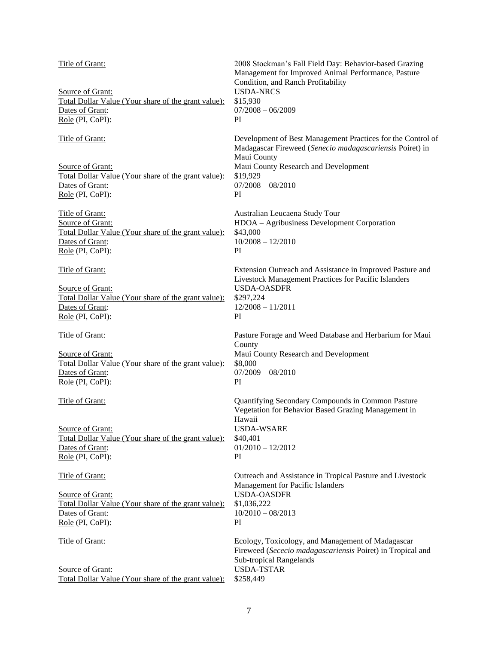| Title of Grant:<br>Source of Grant:                 | 2008 Stockman's Fall Field Day: Behavior-based Grazing<br>Management for Improved Animal Performance, Pasture<br>Condition, and Ranch Profitability<br><b>USDA-NRCS</b> |
|-----------------------------------------------------|-------------------------------------------------------------------------------------------------------------------------------------------------------------------------|
| Total Dollar Value (Your share of the grant value): | \$15,930                                                                                                                                                                |
| Dates of Grant:                                     | $07/2008 - 06/2009$                                                                                                                                                     |
| Role (PI, CoPI):                                    | PI.                                                                                                                                                                     |
|                                                     |                                                                                                                                                                         |
| Title of Grant:                                     | Development of Best Management Practices for the Control of<br>Madagascar Fireweed (Senecio madagascariensis Poiret) in                                                 |
|                                                     | Maui County                                                                                                                                                             |
| Source of Grant:                                    | Maui County Research and Development                                                                                                                                    |
| Total Dollar Value (Your share of the grant value): | \$19,929                                                                                                                                                                |
| Dates of Grant:                                     | $07/2008 - 08/2010$                                                                                                                                                     |
| Role (PI, CoPI):                                    | PI                                                                                                                                                                      |
| Title of Grant:<br>Source of Grant:                 | Australian Leucaena Study Tour<br>HDOA - Agribusiness Development Corporation                                                                                           |
| Total Dollar Value (Your share of the grant value): | \$43,000                                                                                                                                                                |
| Dates of Grant:                                     | $10/2008 - 12/2010$                                                                                                                                                     |
| Role (PI, CoPI):                                    | PI                                                                                                                                                                      |
|                                                     |                                                                                                                                                                         |
| Title of Grant:                                     | Extension Outreach and Assistance in Improved Pasture and<br>Livestock Management Practices for Pacific Islanders                                                       |
| Source of Grant:                                    | <b>USDA-OASDFR</b>                                                                                                                                                      |
| Total Dollar Value (Your share of the grant value): | \$297,224                                                                                                                                                               |
| Dates of Grant:                                     | $12/2008 - 11/2011$                                                                                                                                                     |
| Role (PI, CoPI):                                    | PI.                                                                                                                                                                     |
| Title of Grant:                                     | Pasture Forage and Weed Database and Herbarium for Maui<br>County                                                                                                       |
|                                                     |                                                                                                                                                                         |
| Source of Grant:                                    | Maui County Research and Development<br>\$8,000                                                                                                                         |
| Total Dollar Value (Your share of the grant value): |                                                                                                                                                                         |
| Dates of Grant:                                     | $07/2009 - 08/2010$                                                                                                                                                     |
| Role (PI, CoPI):                                    | PI                                                                                                                                                                      |
| Title of Grant:                                     | Quantifying Secondary Compounds in Common Pasture<br>Vegetation for Behavior Based Grazing Management in                                                                |
|                                                     | Hawaii                                                                                                                                                                  |
| Source of Grant:                                    | <b>USDA-WSARE</b>                                                                                                                                                       |
| Total Dollar Value (Your share of the grant value): | \$40,401                                                                                                                                                                |
| Dates of Grant:                                     | $01/2010 - 12/2012$                                                                                                                                                     |
| Role (PI, CoPI):                                    | PI                                                                                                                                                                      |
|                                                     |                                                                                                                                                                         |
| Title of Grant:                                     | Outreach and Assistance in Tropical Pasture and Livestock<br>Management for Pacific Islanders                                                                           |
| Source of Grant:                                    | <b>USDA-OASDFR</b>                                                                                                                                                      |
| Total Dollar Value (Your share of the grant value): | \$1,036,222                                                                                                                                                             |
| Dates of Grant:                                     | $10/2010 - 08/2013$                                                                                                                                                     |
| Role (PI, CoPI):                                    | PI                                                                                                                                                                      |
|                                                     |                                                                                                                                                                         |
| Title of Grant:                                     | Ecology, Toxicology, and Management of Madagascar                                                                                                                       |
|                                                     | Fireweed (Sececio madagascariensis Poiret) in Tropical and                                                                                                              |
|                                                     | Sub-tropical Rangelands                                                                                                                                                 |
| Source of Grant:                                    | <b>USDA-TSTAR</b>                                                                                                                                                       |
| Total Dollar Value (Your share of the grant value): | \$258,449                                                                                                                                                               |
|                                                     |                                                                                                                                                                         |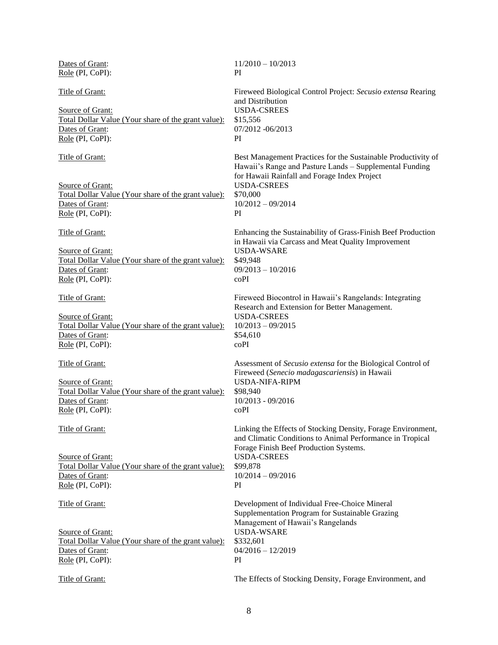| Dates of Grant:<br>Role (PI, CoPI):                                                                                                 | $11/2010 - 10/2013$<br>PI                                                                                                                                                                                                               |
|-------------------------------------------------------------------------------------------------------------------------------------|-----------------------------------------------------------------------------------------------------------------------------------------------------------------------------------------------------------------------------------------|
| Title of Grant:<br>Source of Grant:<br>Total Dollar Value (Your share of the grant value):<br>Dates of Grant:<br>Role (PI, CoPI):   | Fireweed Biological Control Project: Secusio extensa Rearing<br>and Distribution<br><b>USDA-CSREES</b><br>\$15,556<br>07/2012 -06/2013<br>PI                                                                                            |
| Title of Grant:<br>Source of Grant:<br>Total Dollar Value (Your share of the grant value):<br>Dates of Grant:<br>Role (PI, CoPI):   | Best Management Practices for the Sustainable Productivity of<br>Hawaii's Range and Pasture Lands - Supplemental Funding<br>for Hawaii Rainfall and Forage Index Project<br><b>USDA-CSREES</b><br>\$70,000<br>$10/2012 - 09/2014$<br>PI |
| Title of Grant:<br>Source of Grant:<br>Total Dollar Value (Your share of the grant value):<br>Dates of Grant:<br>Role (PI, CoPI):   | Enhancing the Sustainability of Grass-Finish Beef Production<br>in Hawaii via Carcass and Meat Quality Improvement<br><b>USDA-WSARE</b><br>\$49,948<br>$09/2013 - 10/2016$<br>coPI                                                      |
| Title of Grant:<br>Source of Grant:<br>Total Dollar Value (Your share of the grant value):<br>Dates of Grant:<br>Role (PI, CoPI):   | Fireweed Biocontrol in Hawaii's Rangelands: Integrating<br>Research and Extension for Better Management.<br><b>USDA-CSREES</b><br>$10/2013 - 09/2015$<br>\$54,610<br>coPI                                                               |
| Title of Grant:<br>Source of Grant:<br>Total Dollar Value (Your share of the grant value):<br>Dates of Grant:<br>$Role$ (PI, CoPI): | Assessment of Secusio extensa for the Biological Control of<br>Fireweed (Senecio madagascariensis) in Hawaii<br><b>USDA-NIFA-RIPM</b><br>\$98,940<br>10/2013 - 09/2016<br>coPI                                                          |
| Title of Grant:<br>Source of Grant:<br>Total Dollar Value (Your share of the grant value):<br>Dates of Grant:<br>Role (PI, CoPI):   | Linking the Effects of Stocking Density, Forage Environment,<br>and Climatic Conditions to Animal Performance in Tropical<br>Forage Finish Beef Production Systems.<br><b>USDA-CSREES</b><br>\$99,878<br>$10/2014 - 09/2016$<br>PI      |
| Title of Grant:<br>Source of Grant:<br>Total Dollar Value (Your share of the grant value):<br>Dates of Grant:<br>$Role$ (PI, CoPI): | Development of Individual Free-Choice Mineral<br>Supplementation Program for Sustainable Grazing<br>Management of Hawaii's Rangelands<br><b>USDA-WSARE</b><br>\$332,601<br>$04/2016 - 12/2019$<br>PI                                    |
| Title of Grant:                                                                                                                     | The Effects of Stocking Density, Forage Environment, and                                                                                                                                                                                |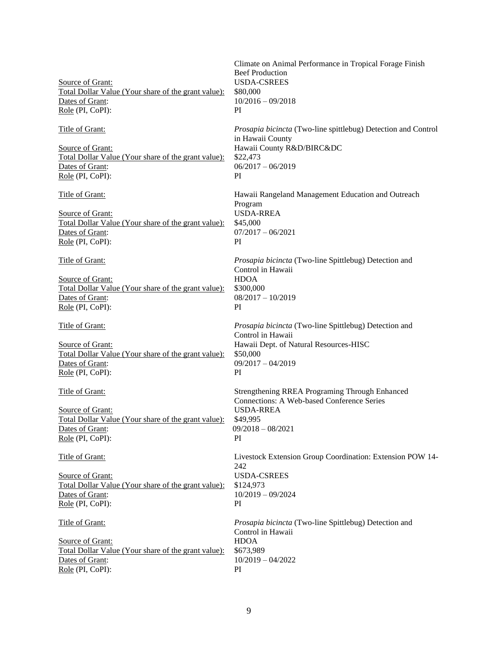| Source of Grant:<br>Total Dollar Value (Your share of the grant value):<br>Dates of Grant:<br>Role (PI, CoPI):                    | Climate on Animal Performance in Tropical Forage Finish<br><b>Beef Production</b><br><b>USDA-CSREES</b><br>\$80,000<br>$10/2016 - 09/2018$<br>PI              |
|-----------------------------------------------------------------------------------------------------------------------------------|---------------------------------------------------------------------------------------------------------------------------------------------------------------|
| Title of Grant:<br>Source of Grant:<br>Total Dollar Value (Your share of the grant value):<br>Dates of Grant:<br>Role (PI, CoPI): | Prosapia bicincta (Two-line spittlebug) Detection and Control<br>in Hawaii County<br>Hawaii County R&D/BIRC&DC<br>\$22,473<br>$06/2017 - 06/2019$<br>PI       |
| Title of Grant:<br>Source of Grant:<br>Total Dollar Value (Your share of the grant value):<br>Dates of Grant:<br>Role (PI, CoPI): | Hawaii Rangeland Management Education and Outreach<br>Program<br><b>USDA-RREA</b><br>\$45,000<br>$07/2017 - 06/2021$<br>PI                                    |
| Title of Grant:<br>Source of Grant:<br>Total Dollar Value (Your share of the grant value):<br>Dates of Grant:<br>Role (PI, CoPI): | Prosapia bicincta (Two-line Spittlebug) Detection and<br>Control in Hawaii<br><b>HDOA</b><br>\$300,000<br>$08/2017 - 10/2019$<br>PI                           |
| Title of Grant:<br>Source of Grant:<br>Total Dollar Value (Your share of the grant value):<br>Dates of Grant:<br>Role (PI, CoPI): | Prosapia bicincta (Two-line Spittlebug) Detection and<br>Control in Hawaii<br>Hawaii Dept. of Natural Resources-HISC<br>\$50,000<br>$09/2017 - 04/2019$<br>PI |
| Title of Grant:<br>Source of Grant:<br>Total Dollar Value (Your share of the grant value):<br>Dates of Grant:<br>Role (PI, CoPI): | Strengthening RREA Programing Through Enhanced<br>Connections: A Web-based Conference Series<br><b>USDA-RREA</b><br>\$49,995<br>$09/2018 - 08/2021$<br>PI     |
| Title of Grant:<br>Source of Grant:<br>Total Dollar Value (Your share of the grant value):<br>Dates of Grant:<br>Role (PI, CoPI): | Livestock Extension Group Coordination: Extension POW 14-<br>242<br><b>USDA-CSREES</b><br>\$124,973<br>$10/2019 - 09/2024$<br>PI                              |
| Title of Grant:<br>Source of Grant:<br>Total Dollar Value (Your share of the grant value):<br>Dates of Grant:<br>Role (PI, CoPI): | Prosapia bicincta (Two-line Spittlebug) Detection and<br>Control in Hawaii<br><b>HDOA</b><br>\$673,989<br>$10/2019 - 04/2022$<br>PI                           |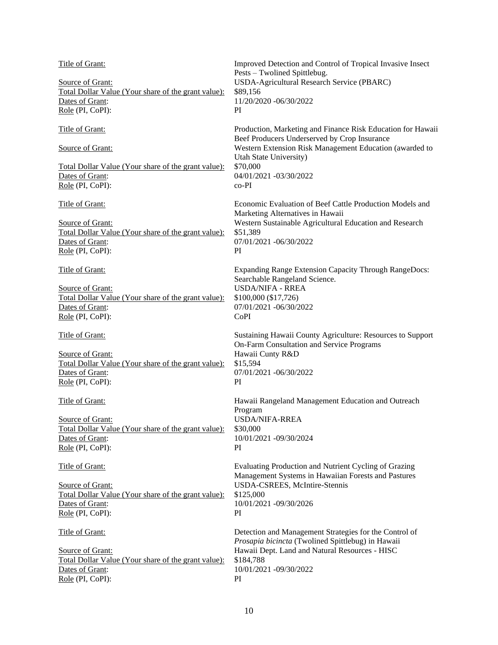| Title of Grant:<br>Source of Grant:<br>Total Dollar Value (Your share of the grant value):<br>Dates of Grant:<br>Role (PI, CoPI):        | Improved Detection and Control of Tropical Invasive Insect<br>Pests - Twolined Spittlebug.<br>USDA-Agricultural Research Service (PBARC)<br>\$89,156<br>11/20/2020 -06/30/2022<br>PI                                                              |
|------------------------------------------------------------------------------------------------------------------------------------------|---------------------------------------------------------------------------------------------------------------------------------------------------------------------------------------------------------------------------------------------------|
| <b>Title of Grant:</b><br>Source of Grant:<br>Total Dollar Value (Your share of the grant value):<br>Dates of Grant:<br>Role (PI, CoPI): | Production, Marketing and Finance Risk Education for Hawaii<br>Beef Producers Underserved by Crop Insurance<br>Western Extension Risk Management Education (awarded to<br>Utah State University)<br>\$70,000<br>04/01/2021 -03/30/2022<br>$co-PI$ |
| Title of Grant:<br>Source of Grant:<br>Total Dollar Value (Your share of the grant value):<br>Dates of Grant:<br>Role (PI, CoPI):        | Economic Evaluation of Beef Cattle Production Models and<br>Marketing Alternatives in Hawaii<br>Western Sustainable Agricultural Education and Research<br>\$51,389<br>07/01/2021 -06/30/2022<br>PI                                               |
| Title of Grant:<br>Source of Grant:<br>Total Dollar Value (Your share of the grant value):<br>Dates of Grant:<br>Role (PI, CoPI):        | Expanding Range Extension Capacity Through RangeDocs:<br>Searchable Rangeland Science.<br><b>USDA/NIFA - RREA</b><br>\$100,000 (\$17,726)<br>07/01/2021 -06/30/2022<br>CoPI                                                                       |
| Title of Grant:<br>Source of Grant:<br>Total Dollar Value (Your share of the grant value):<br>Dates of Grant:<br>Role (PI, CoPI):        | Sustaining Hawaii County Agriculture: Resources to Support<br>On-Farm Consultation and Service Programs<br>Hawaii Cunty R&D<br>\$15,594<br>07/01/2021 -06/30/2022<br>PI                                                                           |
| Title of Grant:<br>Source of Grant:<br>Total Dollar Value (Your share of the grant value):<br>Dates of Grant:<br>Role (PI, CoPI):        | Hawaii Rangeland Management Education and Outreach<br>Program<br><b>USDA/NIFA-RREA</b><br>\$30,000<br>10/01/2021 -09/30/2024<br>PI                                                                                                                |
| Title of Grant:<br>Source of Grant:<br>Total Dollar Value (Your share of the grant value):<br>Dates of Grant:<br>Role (PI, CoPI):        | Evaluating Production and Nutrient Cycling of Grazing<br>Management Systems in Hawaiian Forests and Pastures<br><b>USDA-CSREES, McIntire-Stennis</b><br>\$125,000<br>10/01/2021 -09/30/2026<br>PI                                                 |
| Title of Grant:<br>Source of Grant:<br>Total Dollar Value (Your share of the grant value):<br>Dates of Grant:<br>Role (PI, CoPI):        | Detection and Management Strategies for the Control of<br>Prosapia bicincta (Twolined Spittlebug) in Hawaii<br>Hawaii Dept. Land and Natural Resources - HISC<br>\$184,788<br>10/01/2021 -09/30/2022<br>PI                                        |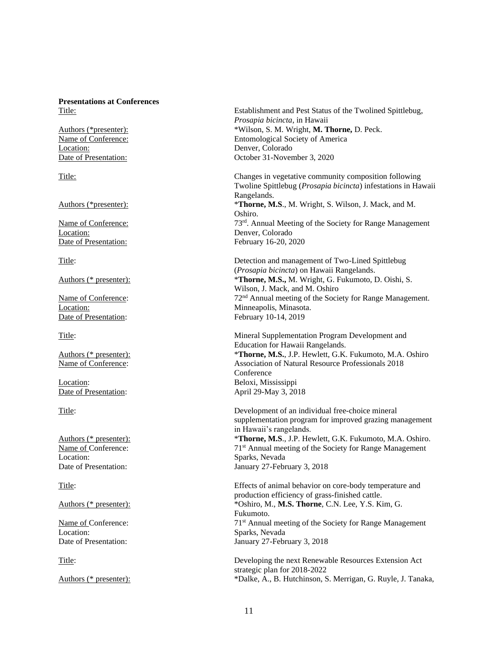# **Presentations at Conferences**

Location: Denver, Colorado

Location: Denver, Colorado Date of Presentation: February 16-20, 2020

Date of Presentation: February 10-14, 2019

Location: Beloxi, Mississippi Date of Presentation: April 29-May 3, 2018

Location: Sparks, Nevada

Location: Sparks, Nevada

Title: Establishment and Pest Status of the Twolined Spittlebug, *Prosapia bicincta*, in Hawaii Authors (\*presenter): \*Wilson, S. M. Wright, **M. Thorne,** D. Peck. Name of Conference: Entomological Society of America Date of Presentation: October 31-November 3, 2020

Title: Changes in vegetative community composition following Twoline Spittlebug (*Prosapia bicincta*) infestations in Hawaii Rangelands. Authors (\*presenter): \***Thorne, M.S**., M. Wright, S. Wilson, J. Mack, and M. Oshiro. Name of Conference: 73<sup>rd</sup>. Annual Meeting of the Society for Range Management

Title: Detection and management of Two-Lined Spittlebug (*Prosapia bicincta*) on Hawaii Rangelands. Authors (\* presenter): \***Thorne, M.S.,** M. Wright, G. Fukumoto, D. Oishi, S. Wilson, J. Mack, and M. Oshiro Name of Conference: 72<sup>nd</sup> Annual meeting of the Society for Range Management. Location: Minneapolis, Minasota.

Title: Mineral Supplementation Program Development and Education for Hawaii Rangelands. Authors (\* presenter): \***Thorne, M.S.**, J.P. Hewlett, G.K. Fukumoto, M.A. Oshiro Name of Conference: Association of Natural Resource Professionals 2018 Conference

Title: Development of an individual free-choice mineral supplementation program for improved grazing management in Hawaii's rangelands. Authors (\* presenter): \***Thorne, M.S**., J.P. Hewlett, G.K. Fukumoto, M.A. Oshiro. Name of Conference: 71<sup>st</sup> Annual meeting of the Society for Range Management Date of Presentation: January 27-February 3, 2018

Title: Effects of animal behavior on core-body temperature and production efficiency of grass-finished cattle. Authors (\* presenter): \*Oshiro, M., **M.S. Thorne**, C.N. Lee, Y.S. Kim, G. Fukumoto. Name of Conference: 71<sup>st</sup> Annual meeting of the Society for Range Management Date of Presentation: January 27-February 3, 2018

Title: Developing the next Renewable Resources Extension Act strategic plan for 2018-2022 Authors (\* presenter): \*Dalke, A., B. Hutchinson, S. Merrigan, G. Ruyle, J. Tanaka,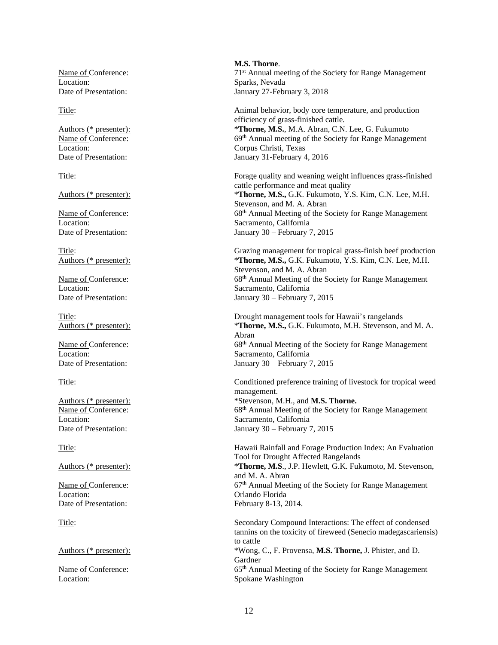Location: Sparks, Nevada

Date of Presentation: January 30 – February 7, 2015

Location: Orlando Florida Date of Presentation: February 8-13, 2014.

Location: Spokane Washington

**M.S. Thorne**. Name of Conference: 71<sup>st</sup> Annual meeting of the Society for Range Management Date of Presentation: January 27-February 3, 2018

Title: Animal behavior, body core temperature, and production efficiency of grass-finished cattle. Authors (\* presenter): \***Thorne, M.S.**, M.A. Abran, C.N. Lee, G. Fukumoto<br>Name of Conference: 69<sup>th</sup> Annual meeting of the Society for Range Manage Name of Conference: 69<sup>th</sup> Annual meeting of the Society for Range Management<br>Location: Corpus Christi, Texas Corpus Christi, Texas Date of Presentation: January 31-February 4, 2016

Title: Forage quality and weaning weight influences grass-finished cattle performance and meat quality Authors (\* presenter): \***Thorne, M.S.,** G.K. Fukumoto, Y.S. Kim, C.N. Lee, M.H. Stevenson, and M. A. Abran Name of Conference: 68<sup>th</sup> Annual Meeting of the Society for Range Management Location: Sacramento, California Date of Presentation: January 30 – February 7, 2015

Title: Grazing management for tropical grass-finish beef production Authors (\* presenter): \***Thorne, M.S.,** G.K. Fukumoto, Y.S. Kim, C.N. Lee, M.H. Stevenson, and M. A. Abran Name of Conference: 68<sup>th</sup> Annual Meeting of the Society for Range Management Location: Sacramento, California Date of Presentation: January 30 – February 7, 2015

Title: Drought management tools for Hawaii's rangelands Authors (\* presenter): \***Thorne, M.S.,** G.K. Fukumoto, M.H. Stevenson, and M. A. Abran Name of Conference: 68<sup>th</sup> Annual Meeting of the Society for Range Management Location: Sacramento, California Date of Presentation: January 30 – February 7, 2015

Title: Conditioned preference training of livestock for tropical weed management. Authors (\* presenter): \*Stevenson, M.H., and **M.S. Thorne.** Name of Conference: 68<sup>th</sup> Annual Meeting of the Society for Range Management Location: Sacramento, California

Title: Hawaii Rainfall and Forage Production Index: An Evaluation Tool for Drought Affected Rangelands Authors (\* presenter): \***Thorne, M.S**., J.P. Hewlett, G.K. Fukumoto, M. Stevenson, and M. A. Abran Name of Conference: 67<sup>th</sup> Annual Meeting of the Society for Range Management

Title: Secondary Compound Interactions: The effect of condensed tannins on the toxicity of fireweed (Senecio madegascariensis) to cattle Authors (\* presenter): \*Wong, C., F. Provensa, **M.S. Thorne,** J. Phister, and D. Gardner Name of Conference: 65<sup>th</sup> Annual Meeting of the Society for Range Management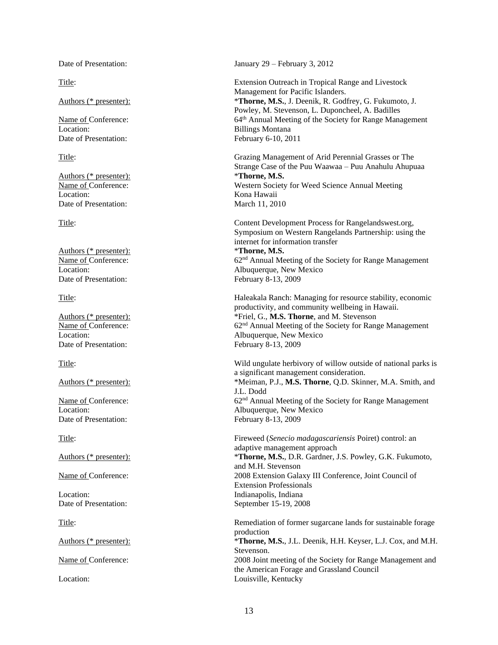Location: Billings Montana Date of Presentation: February 6-10, 2011

Authors (\* presenter):  $*$ **Thorne, M.S.** Location: Kona Hawaii Date of Presentation: March 11, 2010

Authors (\* presenter): Date of Presentation: February 8-13, 2009

Date of Presentation: February 8-13, 2009

Date of Presentation: February 8-13, 2009

Date of Presentation: January 29 – February 3, 2012

Title: Extension Outreach in Tropical Range and Livestock Management for Pacific Islanders. Authors (\* presenter): \***Thorne, M.S.**, J. Deenik, R. Godfrey, G. Fukumoto, J. Powley, M. Stevenson, L. Duponcheel, A. Badilles Name of Conference: 64<sup>th</sup> Annual Meeting of the Society for Range Management

Title: Grazing Management of Arid Perennial Grasses or The Strange Case of the Puu Waawaa – Puu Anahulu Ahupuaa Name of Conference: Western Society for Weed Science Annual Meeting

Title: Content Development Process for Rangelandswest.org, Symposium on Western Rangelands Partnership: using the internet for information transfer<br>\*Thorne, M.S. Name of Conference: 62<sup>nd</sup> Annual Meeting of the Society for Range Management Location: Albuquerque, New Mexico

Title: Haleakala Ranch: Managing for resource stability, economic productivity, and community wellbeing in Hawaii. Authors (\* presenter): \*Friel, G., **M.S. Thorne**, and M. Stevenson Name of Conference:  $62<sup>nd</sup>$  Annual Meeting of the Society for Range Management Location: Albuquerque, New Mexico

Title: Wild ungulate herbivory of willow outside of national parks is a significant management consideration. Authors (\* presenter): \*Meiman, P.J., **M.S. Thorne**, Q.D. Skinner, M.A. Smith, and J.L. Dodd Name of Conference: 62<sup>nd</sup> Annual Meeting of the Society for Range Management Location: Albuquerque, New Mexico

Title: Fireweed (*Senecio madagascariensis* Poiret) control: an adaptive management approach Authors (\* presenter): \***Thorne, M.S.**, D.R. Gardner, J.S. Powley, G.K. Fukumoto, and M.H. Stevenson Name of Conference: 2008 Extension Galaxy III Conference, Joint Council of Extension Professionals Location: **Indianapolis, Indiana** Date of Presentation: September 15-19, 2008

Title: Remediation of former sugarcane lands for sustainable forage production Authors (\* presenter): \***Thorne, M.S.**, J.L. Deenik, H.H. Keyser, L.J. Cox, and M.H. Stevenson. Name of Conference: 2008 Joint meeting of the Society for Range Management and the American Forage and Grassland Council Location: Louisville, Kentucky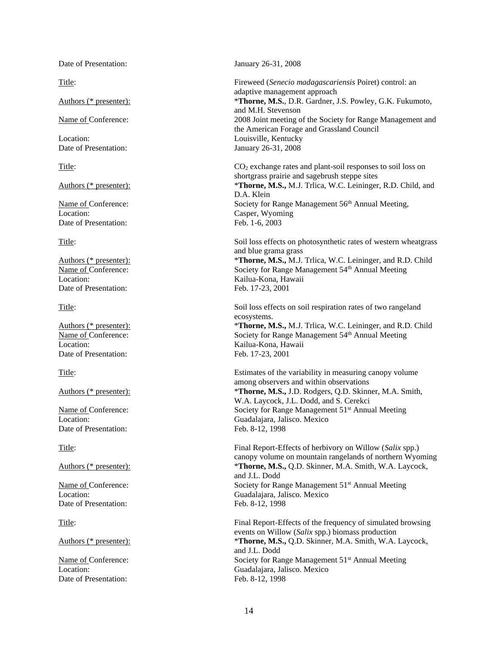Date of Presentation: January 26-31, 2008

Location: Casper, Wyoming Date of Presentation: Feb. 1-6, 2003

Location: Kailua-Kona, Hawaii Date of Presentation: Feb. 17-23, 2001

Location: Kailua-Kona, Hawaii<br>Date of Presentation: Feb. 17-23, 2001 Date of Presentation:

Date of Presentation: Feb. 8-12, 1998

Date of Presentation: Feb. 8-12, 1998

Date of Presentation: Feb. 8-12, 1998

Title: Fireweed (*Senecio madagascariensis* Poiret) control: an adaptive management approach Authors (\* presenter): \***Thorne, M.S.**, D.R. Gardner, J.S. Powley, G.K. Fukumoto, and M.H. Stevenson Name of Conference: 2008 Joint meeting of the Society for Range Management and the American Forage and Grassland Council Location: Louisville, Kentucky<br>Date of Presentation: Lanuary 26-31, 2008 January 26-31, 2008

Title: CO<sub>2</sub> exchange rates and plant-soil responses to soil loss on shortgrass prairie and sagebrush steppe sites Authors (\* presenter): \***Thorne, M.S.,** M.J. Trlica, W.C. Leininger, R.D. Child, and D.A. Klein Name of Conference: Society for Range Management 56<sup>th</sup> Annual Meeting,

Title: Soil loss effects on photosynthetic rates of western wheatgrass and blue grama grass Authors (\* presenter): \***Thorne, M.S.,** M.J. Trlica, W.C. Leininger, and R.D. Child Name of Conference: Society for Range Management 54<sup>th</sup> Annual Meeting

Title: Soil loss effects on soil respiration rates of two rangeland ecosystems.

Authors (\* presenter): \***Thorne, M.S.,** M.J. Trlica, W.C. Leininger, and R.D. Child Name of Conference: Society for Range Management 54<sup>th</sup> Annual Meeting

Title: Estimates of the variability in measuring canopy volume among observers and within observations Authors (\* presenter): \***Thorne, M.S.,** J.D. Rodgers, Q.D. Skinner, M.A. Smith, W.A. Laycock, J.L. Dodd, and S. Cerekci Name of Conference: Society for Range Management 51<sup>st</sup> Annual Meeting Location: Guadalajara, Jalisco. Mexico

Title: Final Report-Effects of herbivory on Willow (*Salix* spp.) canopy volume on mountain rangelands of northern Wyoming Authors (\* presenter): \***Thorne, M.S.,** Q.D. Skinner, M.A. Smith, W.A. Laycock, and J.L. Dodd Name of Conference: Society for Range Management 51<sup>st</sup> Annual Meeting Location: Guadalajara, Jalisco. Mexico

Title: Final Report-Effects of the frequency of simulated browsing events on Willow (*Salix* spp.) biomass production Authors (\* presenter): \***Thorne, M.S.,** Q.D. Skinner, M.A. Smith, W.A. Laycock, and J.L. Dodd Name of Conference: Society for Range Management 51<sup>st</sup> Annual Meeting Location: Guadalajara, Jalisco. Mexico